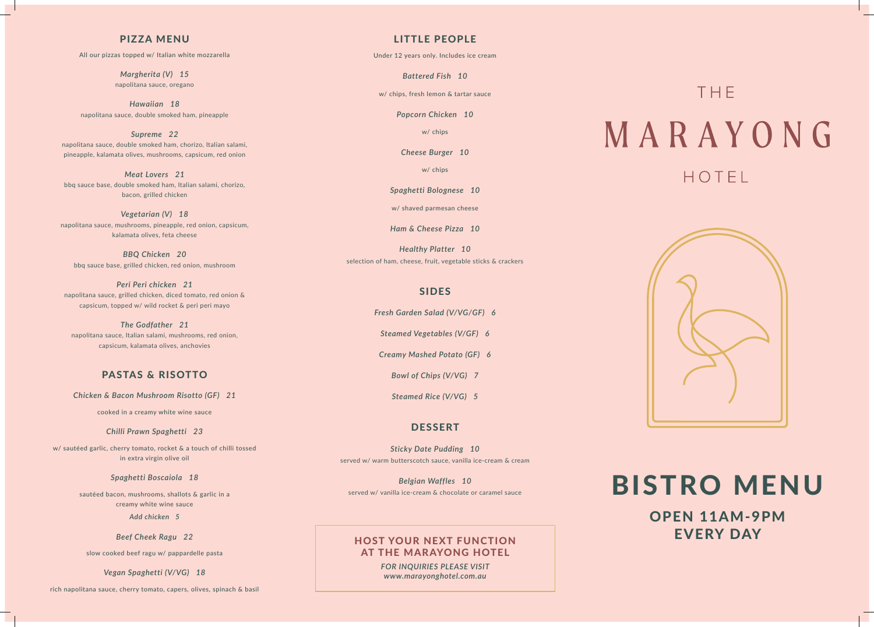#### PIZZA MENU

All our pizzas topped w/ Italian white mozzarella

*Margherita (V) 15* napolitana sauce, oregano

*Hawaiian 18*  napolitana sauce, double smoked ham, pineapple

*Supreme 22* napolitana sauce, double smoked ham, chorizo, Italian salami, pineapple, kalamata olives, mushrooms, capsicum, red onion

*Meat Lovers 21*  bbq sauce base, double smoked ham, Italian salami, chorizo, bacon, grilled chicken

*Vegetarian (V) 18* napolitana sauce, mushrooms, pineapple, red onion, capsicum, kalamata olives, feta cheese

*BBQ Chicken 20* bbq sauce base, grilled chicken, red onion, mushroom

*Peri Peri chicken 21*  napolitana sauce, grilled chicken, diced tomato, red onion & capsicum, topped w/ wild rocket & peri peri mayo

*The Godfather 21* napolitana sauce, Italian salami, mushrooms, red onion, capsicum, kalamata olives, anchovies

#### PASTAS & RISOTTO

*Chicken & Bacon Mushroom Risotto (GF) 21*

cooked in a creamy white wine sauce

*Chilli Prawn Spaghetti 23*

OPEN 11AM-9PM HOST YOUR NEXT FUNCTION **EVERY DAY** 

w/ sautéed garlic, cherry tomato, rocket & a touch of chilli tossed in extra virgin olive oil

*Spaghetti Boscaiola 18*

sautéed bacon, mushrooms, shallots & garlic in a creamy white wine sauce

*Add chicken 5*

*Beef Cheek Ragu 22*

slow cooked beef ragu w/ pappardelle pasta

*Vegan Spaghetti (V/VG) 18*

rich napolitana sauce, cherry tomato, capers, olives, spinach & basil

#### LITTLE PEOPLE

Under 12 years only. Includes ice cream

*Battered Fish 10*

w/ chips, fresh lemon & tartar sauce

*Popcorn Chicken 10*

w/ chips

*Cheese Burger 10*

w/ chips

*Spaghetti Bolognese 10*

w/ shaved parmesan cheese

*Ham & Cheese Pizza 10*

*Healthy Platter 10* selection of ham, cheese, fruit, vegetable sticks & crackers

#### SIDES

*Fresh Garden Salad (V/VG/GF) 6*

*Steamed Vegetables (V/GF) 6*

*Creamy Mashed Potato (GF) 6*

*Bowl of Chips (V/VG) 7*

*Steamed Rice (V/VG) 5*

#### **DESSERT**

*Sticky Date Pudding 10* served w/ warm butterscotch sauce, vanilla ice-cream & cream

*Belgian Waffles 10*

### AT THE MARAYONG HOTEL

*FOR INQUIRIES PLEASE VISIT www.marayonghotel.com.au*

## THE MARAYONG HOTEL



# Belgian Waffles 10<br>Served w/ vanilla ice-cream & chocolate or caramel sauce BISTRO MENU